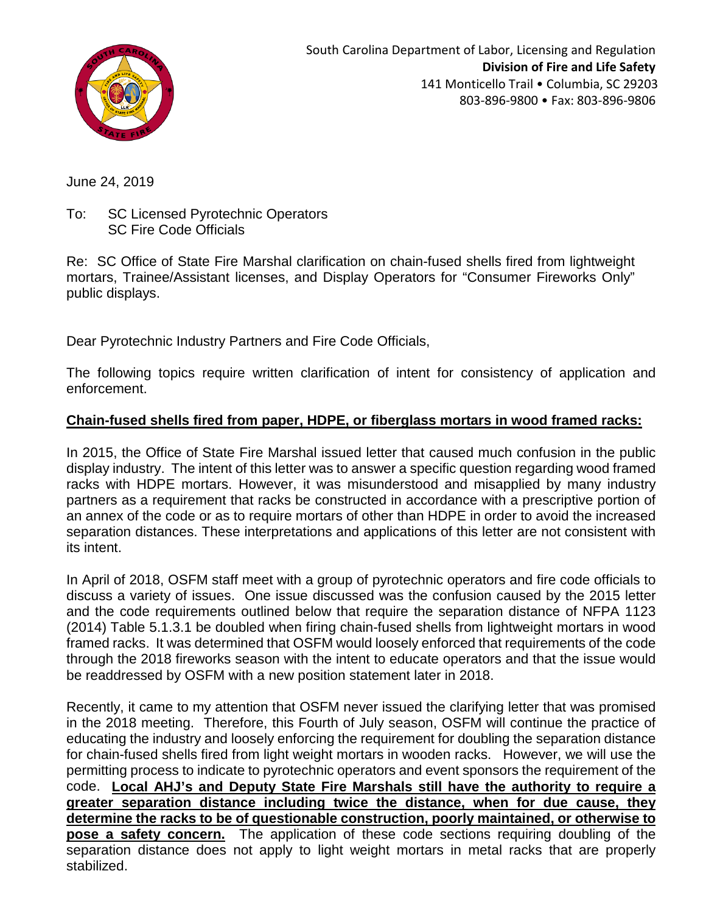

June 24, 2019

To: SC Licensed Pyrotechnic Operators SC Fire Code Officials

Re: SC Office of State Fire Marshal clarification on chain-fused shells fired from lightweight mortars, Trainee/Assistant licenses, and Display Operators for "Consumer Fireworks Only" public displays.

Dear Pyrotechnic Industry Partners and Fire Code Officials,

The following topics require written clarification of intent for consistency of application and enforcement.

# **Chain-fused shells fired from paper, HDPE, or fiberglass mortars in wood framed racks:**

In 2015, the Office of State Fire Marshal issued letter that caused much confusion in the public display industry. The intent of this letter was to answer a specific question regarding wood framed racks with HDPE mortars. However, it was misunderstood and misapplied by many industry partners as a requirement that racks be constructed in accordance with a prescriptive portion of an annex of the code or as to require mortars of other than HDPE in order to avoid the increased separation distances. These interpretations and applications of this letter are not consistent with its intent.

In April of 2018, OSFM staff meet with a group of pyrotechnic operators and fire code officials to discuss a variety of issues. One issue discussed was the confusion caused by the 2015 letter and the code requirements outlined below that require the separation distance of NFPA 1123 (2014) Table 5.1.3.1 be doubled when firing chain-fused shells from lightweight mortars in wood framed racks. It was determined that OSFM would loosely enforced that requirements of the code through the 2018 fireworks season with the intent to educate operators and that the issue would be readdressed by OSFM with a new position statement later in 2018.

Recently, it came to my attention that OSFM never issued the clarifying letter that was promised in the 2018 meeting. Therefore, this Fourth of July season, OSFM will continue the practice of educating the industry and loosely enforcing the requirement for doubling the separation distance for chain-fused shells fired from light weight mortars in wooden racks. However, we will use the permitting process to indicate to pyrotechnic operators and event sponsors the requirement of the code. **Local AHJ's and Deputy State Fire Marshals still have the authority to require a greater separation distance including twice the distance, when for due cause, they determine the racks to be of questionable construction, poorly maintained, or otherwise to pose a safety concern.** The application of these code sections requiring doubling of the separation distance does not apply to light weight mortars in metal racks that are properly stabilized.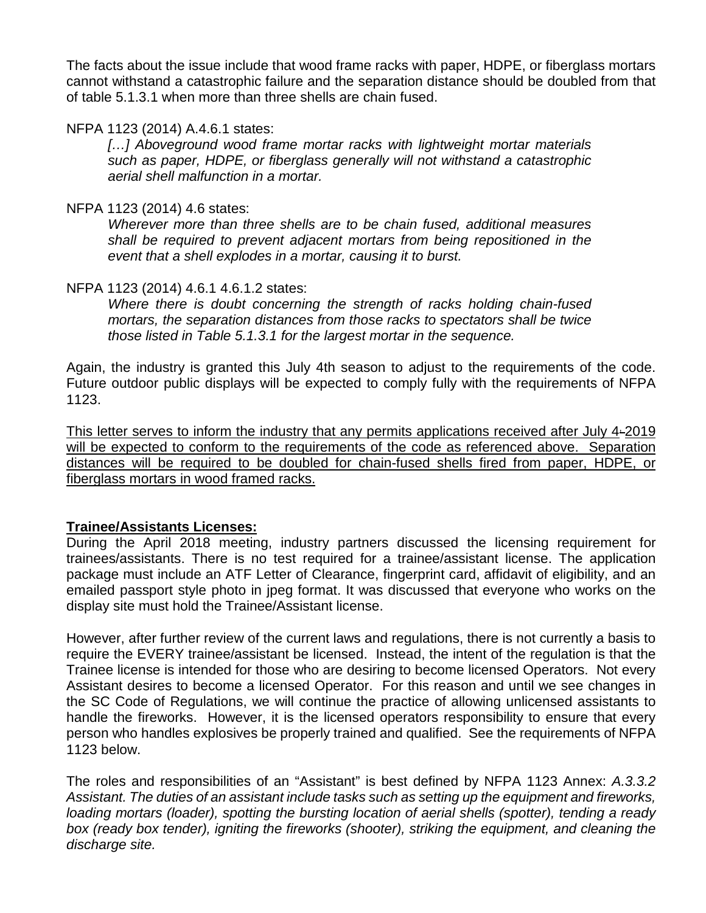The facts about the issue include that wood frame racks with paper, HDPE, or fiberglass mortars cannot withstand a catastrophic failure and the separation distance should be doubled from that of table 5.1.3.1 when more than three shells are chain fused.

## NFPA 1123 (2014) A.4.6.1 states:

*[…] Aboveground wood frame mortar racks with lightweight mortar materials such as paper, HDPE, or fiberglass generally will not withstand a catastrophic aerial shell malfunction in a mortar.* 

## NFPA 1123 (2014) 4.6 states:

*Wherever more than three shells are to be chain fused, additional measures shall be required to prevent adjacent mortars from being repositioned in the event that a shell explodes in a mortar, causing it to burst.* 

# NFPA 1123 (2014) 4.6.1 4.6.1.2 states:

*Where there is doubt concerning the strength of racks holding chain-fused mortars, the separation distances from those racks to spectators shall be twice those listed in Table 5.1.3.1 for the largest mortar in the sequence.* 

Again, the industry is granted this July 4th season to adjust to the requirements of the code. Future outdoor public displays will be expected to comply fully with the requirements of NFPA 1123.

This letter serves to inform the industry that any permits applications received after July  $4-2019$ will be expected to conform to the requirements of the code as referenced above. Separation distances will be required to be doubled for chain-fused shells fired from paper, HDPE, or fiberglass mortars in wood framed racks.

# **Trainee/Assistants Licenses:**

During the April 2018 meeting, industry partners discussed the licensing requirement for trainees/assistants. There is no test required for a trainee/assistant license. The application package must include an ATF Letter of Clearance, fingerprint card, affidavit of eligibility, and an emailed passport style photo in jpeg format. It was discussed that everyone who works on the display site must hold the Trainee/Assistant license.

However, after further review of the current laws and regulations, there is not currently a basis to require the EVERY trainee/assistant be licensed. Instead, the intent of the regulation is that the Trainee license is intended for those who are desiring to become licensed Operators. Not every Assistant desires to become a licensed Operator. For this reason and until we see changes in the SC Code of Regulations, we will continue the practice of allowing unlicensed assistants to handle the fireworks. However, it is the licensed operators responsibility to ensure that every person who handles explosives be properly trained and qualified. See the requirements of NFPA 1123 below.

The roles and responsibilities of an "Assistant" is best defined by NFPA 1123 Annex: *A.3.3.2 Assistant. The duties of an assistant include tasks such as setting up the equipment and fireworks, loading mortars (loader), spotting the bursting location of aerial shells (spotter), tending a ready*  box (ready box tender), igniting the fireworks (shooter), striking the equipment, and cleaning the *discharge site.*